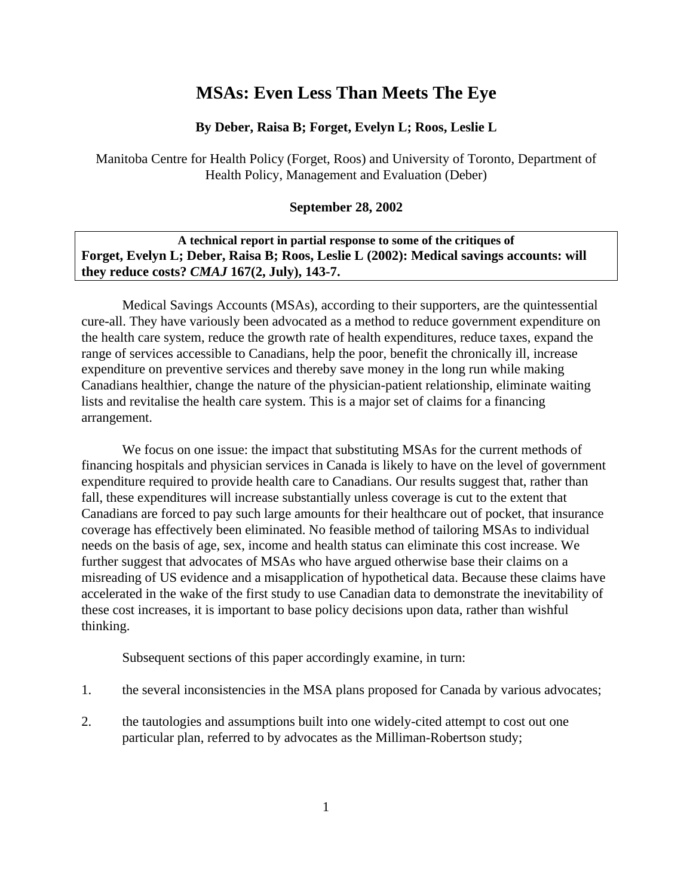# **MSAs: Even Less Than Meets The Eye**

#### **By Deber, Raisa B; Forget, Evelyn L; Roos, Leslie L**

Manitoba Centre for Health Policy (Forget, Roos) and University of Toronto, Department of Health Policy, Management and Evaluation (Deber)

#### **September 28, 2002**

### **A technical report in partial response to some of the critiques of Forget, Evelyn L; Deber, Raisa B; Roos, Leslie L (2002): Medical savings accounts: will they reduce costs?** *CMAJ* **167(2, July), 143-7.**

Medical Savings Accounts (MSAs), according to their supporters, are the quintessential cure-all. They have variously been advocated as a method to reduce government expenditure on the health care system, reduce the growth rate of health expenditures, reduce taxes, expand the range of services accessible to Canadians, help the poor, benefit the chronically ill, increase expenditure on preventive services and thereby save money in the long run while making Canadians healthier, change the nature of the physician-patient relationship, eliminate waiting lists and revitalise the health care system. This is a major set of claims for a financing arrangement.

We focus on one issue: the impact that substituting MSAs for the current methods of financing hospitals and physician services in Canada is likely to have on the level of government expenditure required to provide health care to Canadians. Our results suggest that, rather than fall, these expenditures will increase substantially unless coverage is cut to the extent that Canadians are forced to pay such large amounts for their healthcare out of pocket, that insurance coverage has effectively been eliminated. No feasible method of tailoring MSAs to individual needs on the basis of age, sex, income and health status can eliminate this cost increase. We further suggest that advocates of MSAs who have argued otherwise base their claims on a misreading of US evidence and a misapplication of hypothetical data. Because these claims have accelerated in the wake of the first study to use Canadian data to demonstrate the inevitability of these cost increases, it is important to base policy decisions upon data, rather than wishful thinking.

Subsequent sections of this paper accordingly examine, in turn:

- 1. the several inconsistencies in the MSA plans proposed for Canada by various advocates;
- 2. the tautologies and assumptions built into one widely-cited attempt to cost out one particular plan, referred to by advocates as the Milliman-Robertson study;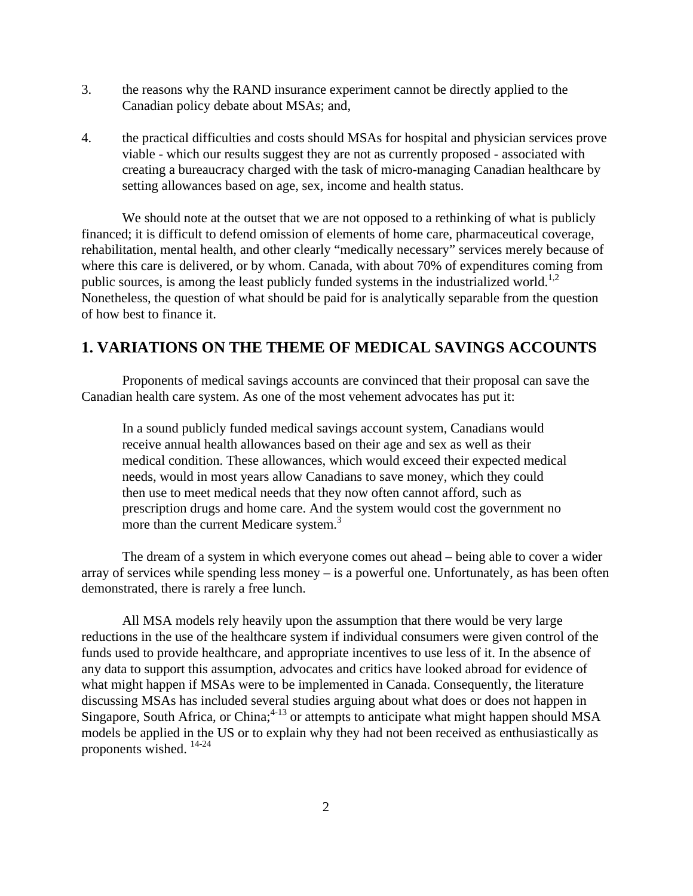- 3. the reasons why the RAND insurance experiment cannot be directly applied to the Canadian policy debate about MSAs; and,
- 4. the practical difficulties and costs should MSAs for hospital and physician services prove viable - which our results suggest they are not as currently proposed - associated with creating a bureaucracy charged with the task of micro-managing Canadian healthcare by setting allowances based on age, sex, income and health status.

We should note at the outset that we are not opposed to a rethinking of what is publicly financed; it is difficult to defend omission of elements of home care, pharmaceutical coverage, rehabilitation, mental health, and other clearly "medically necessary" services merely because of where this care is delivered, or by whom. Canada, with about 70% of expenditures coming from public sources, is among the least publicly funded systems in the industrialized world.<sup>1,2</sup> Nonetheless, the question of what should be paid for is analytically separable from the question of how best to finance it.

### **1. VARIATIONS ON THE THEME OF MEDICAL SAVINGS ACCOUNTS**

Proponents of medical savings accounts are convinced that their proposal can save the Canadian health care system. As one of the most vehement advocates has put it:

In a sound publicly funded medical savings account system, Canadians would receive annual health allowances based on their age and sex as well as their medical condition. These allowances, which would exceed their expected medical needs, would in most years allow Canadians to save money, which they could then use to meet medical needs that they now often cannot afford, such as prescription drugs and home care. And the system would cost the government no more than the current Medicare system.<sup>3</sup>

The dream of a system in which everyone comes out ahead – being able to cover a wider array of services while spending less money – is a powerful one. Unfortunately, as has been often demonstrated, there is rarely a free lunch.

All MSA models rely heavily upon the assumption that there would be very large reductions in the use of the healthcare system if individual consumers were given control of the funds used to provide healthcare, and appropriate incentives to use less of it. In the absence of any data to support this assumption, advocates and critics have looked abroad for evidence of what might happen if MSAs were to be implemented in Canada. Consequently, the literature discussing MSAs has included several studies arguing about what does or does not happen in Singapore, South Africa, or China;<sup>4-13</sup> or attempts to anticipate what might happen should MSA models be applied in the US or to explain why they had not been received as enthusiastically as proponents wished. 14-24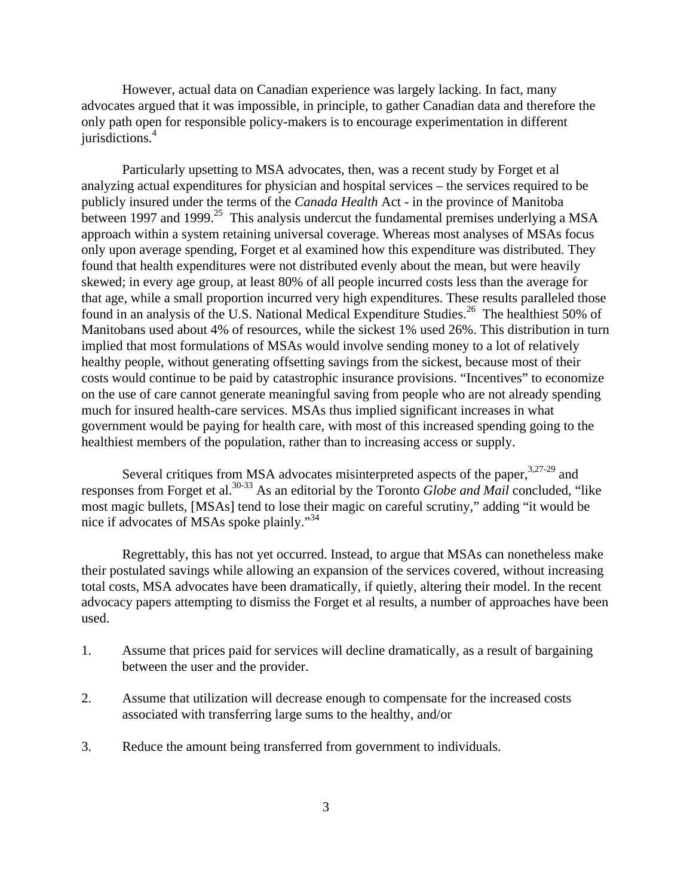However, actual data on Canadian experience was largely lacking. In fact, many advocates argued that it was impossible, in principle, to gather Canadian data and therefore the only path open for responsible policy-makers is to encourage experimentation in different jurisdictions.<sup>4</sup>

Particularly upsetting to MSA advocates, then, was a recent study by Forget et al analyzing actual expenditures for physician and hospital services – the services required to be publicly insured under the terms of the *Canada Health* Act - in the province of Manitoba between 1997 and 1999.<sup>25</sup> This analysis undercut the fundamental premises underlying a MSA approach within a system retaining universal coverage. Whereas most analyses of MSAs focus only upon average spending, Forget et al examined how this expenditure was distributed. They found that health expenditures were not distributed evenly about the mean, but were heavily skewed; in every age group, at least 80% of all people incurred costs less than the average for that age, while a small proportion incurred very high expenditures. These results paralleled those found in an analysis of the U.S. National Medical Expenditure Studies.<sup>26</sup> The healthiest 50% of Manitobans used about 4% of resources, while the sickest 1% used 26%. This distribution in turn implied that most formulations of MSAs would involve sending money to a lot of relatively healthy people, without generating offsetting savings from the sickest, because most of their costs would continue to be paid by catastrophic insurance provisions. "Incentives" to economize on the use of care cannot generate meaningful saving from people who are not already spending much for insured health-care services. MSAs thus implied significant increases in what government would be paying for health care, with most of this increased spending going to the healthiest members of the population, rather than to increasing access or supply.

Several critiques from MSA advocates misinterpreted aspects of the paper,<sup>3,27-29</sup> and responses from Forget et al.<sup>30-33</sup> As an editorial by the Toronto *Globe and Mail* concluded, "like most magic bullets, [MSAs] tend to lose their magic on careful scrutiny," adding "it would be nice if advocates of MSAs spoke plainly."<sup>34</sup>

Regrettably, this has not yet occurred. Instead, to argue that MSAs can nonetheless make their postulated savings while allowing an expansion of the services covered, without increasing total costs, MSA advocates have been dramatically, if quietly, altering their model. In the recent advocacy papers attempting to dismiss the Forget et al results, a number of approaches have been used.

- 1. Assume that prices paid for services will decline dramatically, as a result of bargaining between the user and the provider.
- 2. Assume that utilization will decrease enough to compensate for the increased costs associated with transferring large sums to the healthy, and/or
- 3. Reduce the amount being transferred from government to individuals.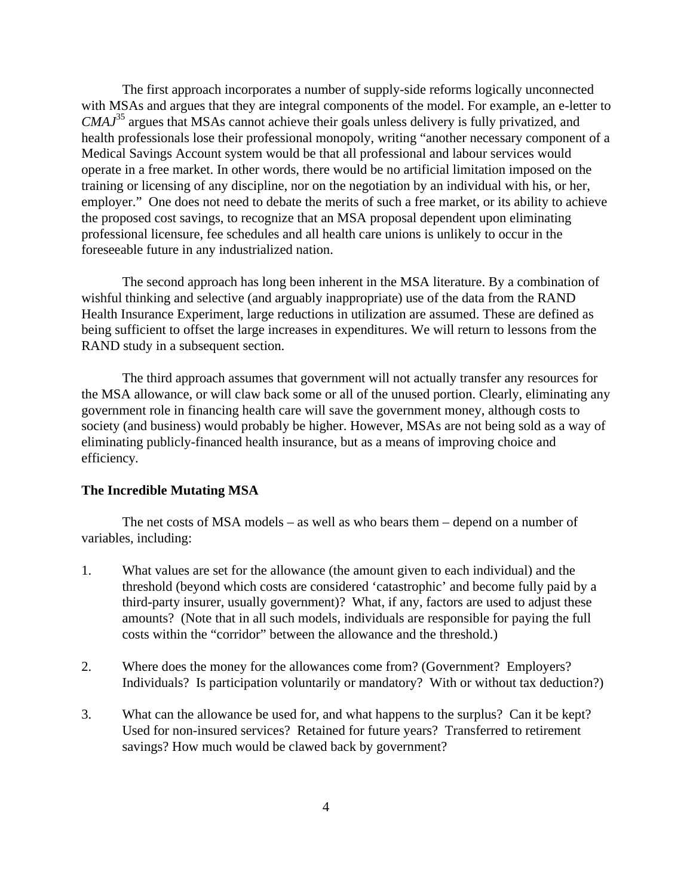The first approach incorporates a number of supply-side reforms logically unconnected with MSAs and argues that they are integral components of the model. For example, an e-letter to *CMAJ*<sup>35</sup> argues that MSAs cannot achieve their goals unless delivery is fully privatized, and health professionals lose their professional monopoly, writing "another necessary component of a Medical Savings Account system would be that all professional and labour services would operate in a free market. In other words, there would be no artificial limitation imposed on the training or licensing of any discipline, nor on the negotiation by an individual with his, or her, employer." One does not need to debate the merits of such a free market, or its ability to achieve the proposed cost savings, to recognize that an MSA proposal dependent upon eliminating professional licensure, fee schedules and all health care unions is unlikely to occur in the foreseeable future in any industrialized nation.

The second approach has long been inherent in the MSA literature. By a combination of wishful thinking and selective (and arguably inappropriate) use of the data from the RAND Health Insurance Experiment, large reductions in utilization are assumed. These are defined as being sufficient to offset the large increases in expenditures. We will return to lessons from the RAND study in a subsequent section.

The third approach assumes that government will not actually transfer any resources for the MSA allowance, or will claw back some or all of the unused portion. Clearly, eliminating any government role in financing health care will save the government money, although costs to society (and business) would probably be higher. However, MSAs are not being sold as a way of eliminating publicly-financed health insurance, but as a means of improving choice and efficiency.

#### **The Incredible Mutating MSA**

The net costs of MSA models – as well as who bears them – depend on a number of variables, including:

- 1. What values are set for the allowance (the amount given to each individual) and the threshold (beyond which costs are considered 'catastrophic' and become fully paid by a third-party insurer, usually government)? What, if any, factors are used to adjust these amounts? (Note that in all such models, individuals are responsible for paying the full costs within the "corridor" between the allowance and the threshold.)
- 2. Where does the money for the allowances come from? (Government? Employers? Individuals? Is participation voluntarily or mandatory? With or without tax deduction?)
- 3. What can the allowance be used for, and what happens to the surplus? Can it be kept? Used for non-insured services? Retained for future years? Transferred to retirement savings? How much would be clawed back by government?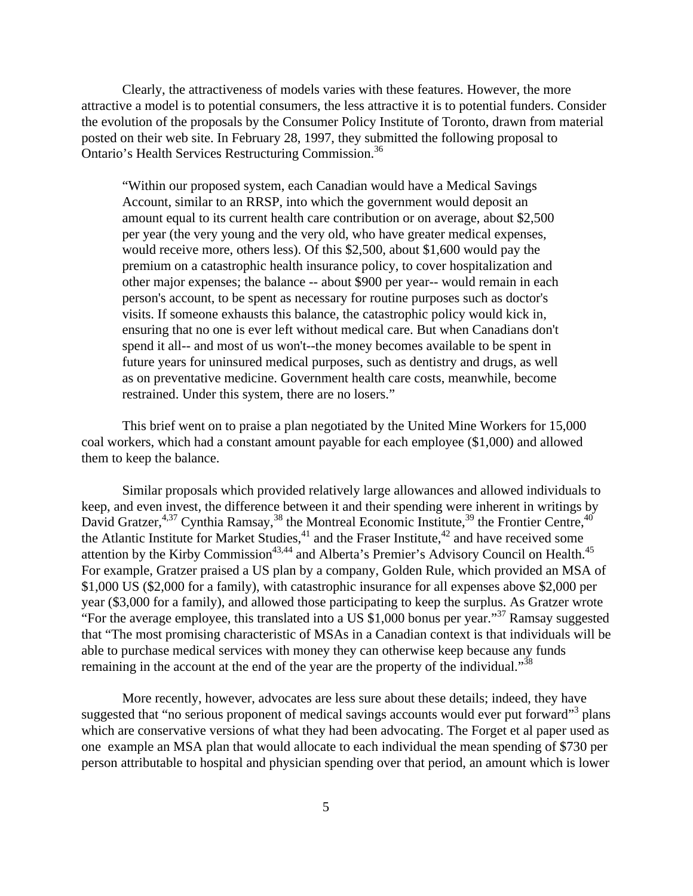Clearly, the attractiveness of models varies with these features. However, the more attractive a model is to potential consumers, the less attractive it is to potential funders. Consider the evolution of the proposals by the Consumer Policy Institute of Toronto, drawn from material posted on their web site. In February 28, 1997, they submitted the following proposal to Ontario's Health Services Restructuring Commission.<sup>36</sup>

"Within our proposed system, each Canadian would have a Medical Savings Account, similar to an RRSP, into which the government would deposit an amount equal to its current health care contribution or on average, about \$2,500 per year (the very young and the very old, who have greater medical expenses, would receive more, others less). Of this \$2,500, about \$1,600 would pay the premium on a catastrophic health insurance policy, to cover hospitalization and other major expenses; the balance -- about \$900 per year-- would remain in each person's account, to be spent as necessary for routine purposes such as doctor's visits. If someone exhausts this balance, the catastrophic policy would kick in, ensuring that no one is ever left without medical care. But when Canadians don't spend it all-- and most of us won't--the money becomes available to be spent in future years for uninsured medical purposes, such as dentistry and drugs, as well as on preventative medicine. Government health care costs, meanwhile, become restrained. Under this system, there are no losers."

This brief went on to praise a plan negotiated by the United Mine Workers for 15,000 coal workers, which had a constant amount payable for each employee (\$1,000) and allowed them to keep the balance.

Similar proposals which provided relatively large allowances and allowed individuals to keep, and even invest, the difference between it and their spending were inherent in writings by David Gratzer, <sup>4,37</sup> Cynthia Ramsay, <sup>38</sup> the Montreal Economic Institute, <sup>39</sup> the Frontier Centre, <sup>40</sup> the Atlantic Institute for Market Studies, $41$  and the Fraser Institute, $42$  and have received some attention by the Kirby Commission<sup>43,44</sup> and Alberta's Premier's Advisory Council on Health.<sup>45</sup> For example, Gratzer praised a US plan by a company, Golden Rule, which provided an MSA of \$1,000 US (\$2,000 for a family), with catastrophic insurance for all expenses above \$2,000 per year (\$3,000 for a family), and allowed those participating to keep the surplus. As Gratzer wrote "For the average employee, this translated into a US \$1,000 bonus per year."<sup>37</sup> Ramsay suggested that "The most promising characteristic of MSAs in a Canadian context is that individuals will be able to purchase medical services with money they can otherwise keep because any funds remaining in the account at the end of the year are the property of the individual."<sup>38</sup>

More recently, however, advocates are less sure about these details; indeed, they have suggested that "no serious proponent of medical savings accounts would ever put forward"<sup>3</sup> plans which are conservative versions of what they had been advocating. The Forget et al paper used as one example an MSA plan that would allocate to each individual the mean spending of \$730 per person attributable to hospital and physician spending over that period, an amount which is lower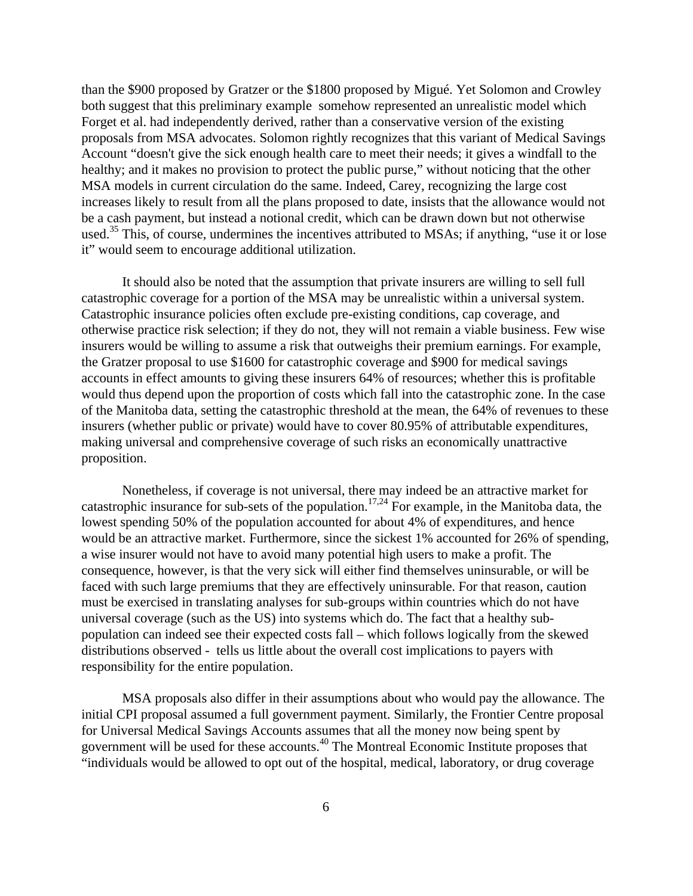than the \$900 proposed by Gratzer or the \$1800 proposed by Migué. Yet Solomon and Crowley both suggest that this preliminary example somehow represented an unrealistic model which Forget et al. had independently derived, rather than a conservative version of the existing proposals from MSA advocates. Solomon rightly recognizes that this variant of Medical Savings Account "doesn't give the sick enough health care to meet their needs; it gives a windfall to the healthy; and it makes no provision to protect the public purse," without noticing that the other MSA models in current circulation do the same. Indeed, Carey, recognizing the large cost increases likely to result from all the plans proposed to date, insists that the allowance would not be a cash payment, but instead a notional credit, which can be drawn down but not otherwise used.<sup>35</sup> This, of course, undermines the incentives attributed to MSAs; if anything, "use it or lose it" would seem to encourage additional utilization.

It should also be noted that the assumption that private insurers are willing to sell full catastrophic coverage for a portion of the MSA may be unrealistic within a universal system. Catastrophic insurance policies often exclude pre-existing conditions, cap coverage, and otherwise practice risk selection; if they do not, they will not remain a viable business. Few wise insurers would be willing to assume a risk that outweighs their premium earnings. For example, the Gratzer proposal to use \$1600 for catastrophic coverage and \$900 for medical savings accounts in effect amounts to giving these insurers 64% of resources; whether this is profitable would thus depend upon the proportion of costs which fall into the catastrophic zone. In the case of the Manitoba data, setting the catastrophic threshold at the mean, the 64% of revenues to these insurers (whether public or private) would have to cover 80.95% of attributable expenditures, making universal and comprehensive coverage of such risks an economically unattractive proposition.

Nonetheless, if coverage is not universal, there may indeed be an attractive market for catastrophic insurance for sub-sets of the population.<sup>17,24</sup> For example, in the Manitoba data, the lowest spending 50% of the population accounted for about 4% of expenditures, and hence would be an attractive market. Furthermore, since the sickest 1% accounted for 26% of spending, a wise insurer would not have to avoid many potential high users to make a profit. The consequence, however, is that the very sick will either find themselves uninsurable, or will be faced with such large premiums that they are effectively uninsurable. For that reason, caution must be exercised in translating analyses for sub-groups within countries which do not have universal coverage (such as the US) into systems which do. The fact that a healthy subpopulation can indeed see their expected costs fall – which follows logically from the skewed distributions observed - tells us little about the overall cost implications to payers with responsibility for the entire population.

MSA proposals also differ in their assumptions about who would pay the allowance. The initial CPI proposal assumed a full government payment. Similarly, the Frontier Centre proposal for Universal Medical Savings Accounts assumes that all the money now being spent by government will be used for these accounts.<sup>40</sup> The Montreal Economic Institute proposes that "individuals would be allowed to opt out of the hospital, medical, laboratory, or drug coverage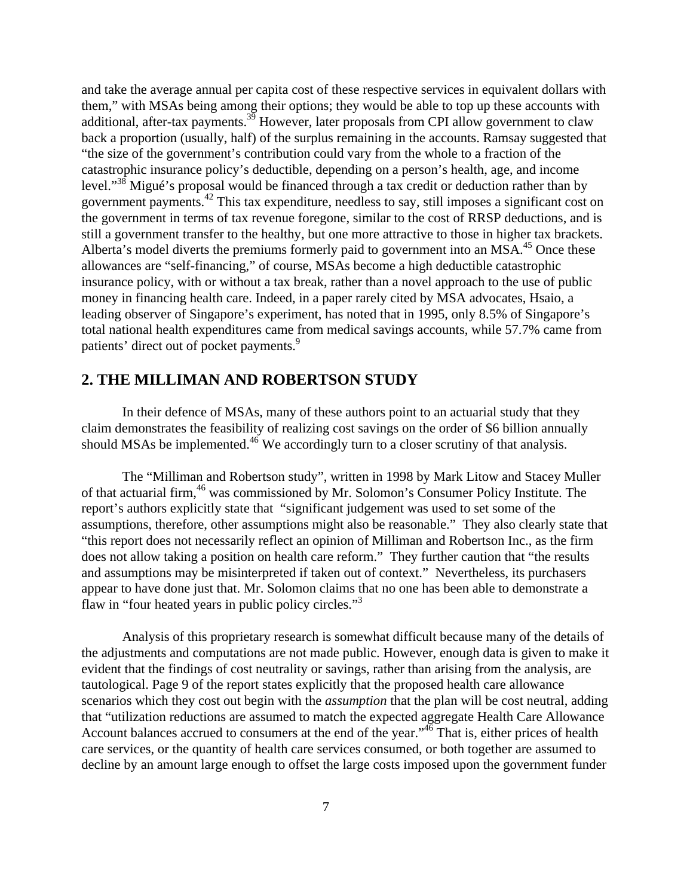and take the average annual per capita cost of these respective services in equivalent dollars with them," with MSAs being among their options; they would be able to top up these accounts with additional, after-tax payments.<sup>39</sup> However, later proposals from CPI allow government to claw back a proportion (usually, half) of the surplus remaining in the accounts. Ramsay suggested that "the size of the government's contribution could vary from the whole to a fraction of the catastrophic insurance policy's deductible, depending on a person's health, age, and income level."<sup>38</sup> Migué's proposal would be financed through a tax credit or deduction rather than by government payments.<sup>42</sup> This tax expenditure, needless to say, still imposes a significant cost on the government in terms of tax revenue foregone, similar to the cost of RRSP deductions, and is still a government transfer to the healthy, but one more attractive to those in higher tax brackets. Alberta's model diverts the premiums formerly paid to government into an  $MSA<sup>45</sup>$  Once these allowances are "self-financing," of course, MSAs become a high deductible catastrophic insurance policy, with or without a tax break, rather than a novel approach to the use of public money in financing health care. Indeed, in a paper rarely cited by MSA advocates, Hsaio, a leading observer of Singapore's experiment, has noted that in 1995, only 8.5% of Singapore's total national health expenditures came from medical savings accounts, while 57.7% came from patients' direct out of pocket payments.<sup>9</sup>

## **2. THE MILLIMAN AND ROBERTSON STUDY**

In their defence of MSAs, many of these authors point to an actuarial study that they claim demonstrates the feasibility of realizing cost savings on the order of \$6 billion annually should MSAs be implemented.<sup>46</sup> We accordingly turn to a closer scrutiny of that analysis.

The "Milliman and Robertson study", written in 1998 by Mark Litow and Stacey Muller of that actuarial firm, <sup>46</sup> was commissioned by Mr. Solomon's Consumer Policy Institute. The report's authors explicitly state that "significant judgement was used to set some of the assumptions, therefore, other assumptions might also be reasonable." They also clearly state that "this report does not necessarily reflect an opinion of Milliman and Robertson Inc., as the firm does not allow taking a position on health care reform." They further caution that "the results and assumptions may be misinterpreted if taken out of context." Nevertheless, its purchasers appear to have done just that. Mr. Solomon claims that no one has been able to demonstrate a flaw in "four heated years in public policy circles."<sup>3</sup>

Analysis of this proprietary research is somewhat difficult because many of the details of the adjustments and computations are not made public. However, enough data is given to make it evident that the findings of cost neutrality or savings, rather than arising from the analysis, are tautological. Page 9 of the report states explicitly that the proposed health care allowance scenarios which they cost out begin with the *assumption* that the plan will be cost neutral, adding that "utilization reductions are assumed to match the expected aggregate Health Care Allowance Account balances accrued to consumers at the end of the year."<sup>46</sup> That is, either prices of health care services, or the quantity of health care services consumed, or both together are assumed to decline by an amount large enough to offset the large costs imposed upon the government funder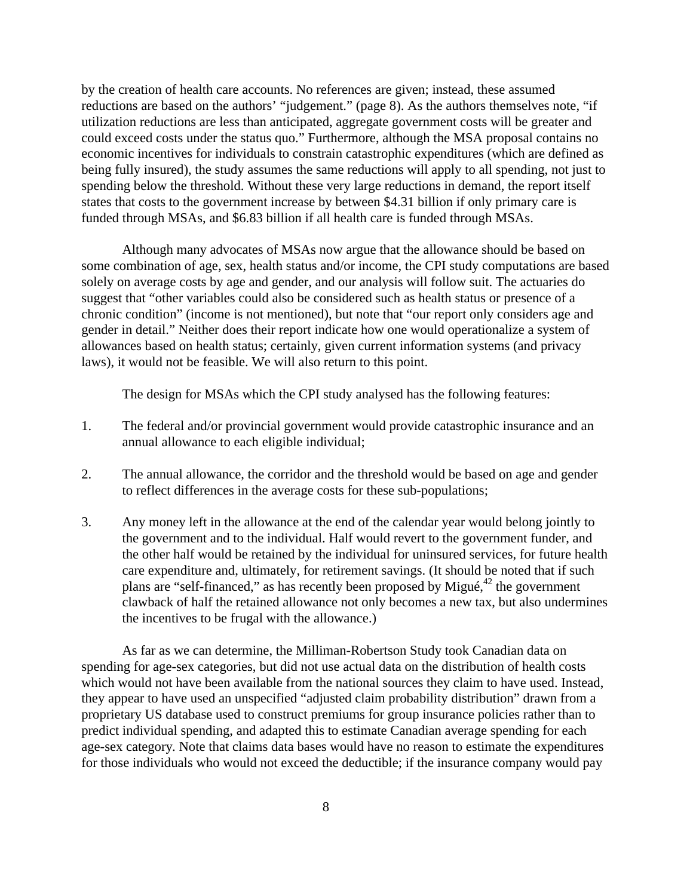by the creation of health care accounts. No references are given; instead, these assumed reductions are based on the authors' "judgement." (page 8). As the authors themselves note, "if utilization reductions are less than anticipated, aggregate government costs will be greater and could exceed costs under the status quo." Furthermore, although the MSA proposal contains no economic incentives for individuals to constrain catastrophic expenditures (which are defined as being fully insured), the study assumes the same reductions will apply to all spending, not just to spending below the threshold. Without these very large reductions in demand, the report itself states that costs to the government increase by between \$4.31 billion if only primary care is funded through MSAs, and \$6.83 billion if all health care is funded through MSAs.

Although many advocates of MSAs now argue that the allowance should be based on some combination of age, sex, health status and/or income, the CPI study computations are based solely on average costs by age and gender, and our analysis will follow suit. The actuaries do suggest that "other variables could also be considered such as health status or presence of a chronic condition" (income is not mentioned), but note that "our report only considers age and gender in detail." Neither does their report indicate how one would operationalize a system of allowances based on health status; certainly, given current information systems (and privacy laws), it would not be feasible. We will also return to this point.

The design for MSAs which the CPI study analysed has the following features:

- 1. The federal and/or provincial government would provide catastrophic insurance and an annual allowance to each eligible individual;
- 2. The annual allowance, the corridor and the threshold would be based on age and gender to reflect differences in the average costs for these sub-populations;
- 3. Any money left in the allowance at the end of the calendar year would belong jointly to the government and to the individual. Half would revert to the government funder, and the other half would be retained by the individual for uninsured services, for future health care expenditure and, ultimately, for retirement savings. (It should be noted that if such plans are "self-financed," as has recently been proposed by Migué, <sup>42</sup> the government clawback of half the retained allowance not only becomes a new tax, but also undermines the incentives to be frugal with the allowance.)

As far as we can determine, the Milliman-Robertson Study took Canadian data on spending for age-sex categories, but did not use actual data on the distribution of health costs which would not have been available from the national sources they claim to have used. Instead, they appear to have used an unspecified "adjusted claim probability distribution" drawn from a proprietary US database used to construct premiums for group insurance policies rather than to predict individual spending, and adapted this to estimate Canadian average spending for each age-sex category. Note that claims data bases would have no reason to estimate the expenditures for those individuals who would not exceed the deductible; if the insurance company would pay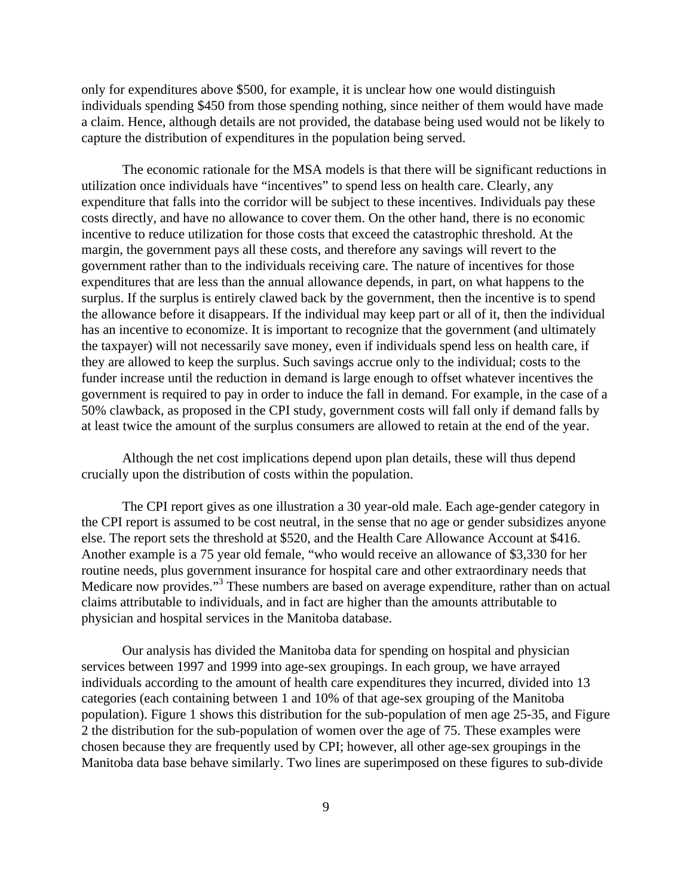only for expenditures above \$500, for example, it is unclear how one would distinguish individuals spending \$450 from those spending nothing, since neither of them would have made a claim. Hence, although details are not provided, the database being used would not be likely to capture the distribution of expenditures in the population being served.

The economic rationale for the MSA models is that there will be significant reductions in utilization once individuals have "incentives" to spend less on health care. Clearly, any expenditure that falls into the corridor will be subject to these incentives. Individuals pay these costs directly, and have no allowance to cover them. On the other hand, there is no economic incentive to reduce utilization for those costs that exceed the catastrophic threshold. At the margin, the government pays all these costs, and therefore any savings will revert to the government rather than to the individuals receiving care. The nature of incentives for those expenditures that are less than the annual allowance depends, in part, on what happens to the surplus. If the surplus is entirely clawed back by the government, then the incentive is to spend the allowance before it disappears. If the individual may keep part or all of it, then the individual has an incentive to economize. It is important to recognize that the government (and ultimately the taxpayer) will not necessarily save money, even if individuals spend less on health care, if they are allowed to keep the surplus. Such savings accrue only to the individual; costs to the funder increase until the reduction in demand is large enough to offset whatever incentives the government is required to pay in order to induce the fall in demand. For example, in the case of a 50% clawback, as proposed in the CPI study, government costs will fall only if demand falls by at least twice the amount of the surplus consumers are allowed to retain at the end of the year.

Although the net cost implications depend upon plan details, these will thus depend crucially upon the distribution of costs within the population.

The CPI report gives as one illustration a 30 year-old male. Each age-gender category in the CPI report is assumed to be cost neutral, in the sense that no age or gender subsidizes anyone else. The report sets the threshold at \$520, and the Health Care Allowance Account at \$416. Another example is a 75 year old female, "who would receive an allowance of \$3,330 for her routine needs, plus government insurance for hospital care and other extraordinary needs that Medicare now provides."<sup>3</sup> These numbers are based on average expenditure, rather than on actual claims attributable to individuals, and in fact are higher than the amounts attributable to physician and hospital services in the Manitoba database.

Our analysis has divided the Manitoba data for spending on hospital and physician services between 1997 and 1999 into age-sex groupings. In each group, we have arrayed individuals according to the amount of health care expenditures they incurred, divided into 13 categories (each containing between 1 and 10% of that age-sex grouping of the Manitoba population). Figure 1 shows this distribution for the sub-population of men age 25-35, and Figure 2 the distribution for the sub-population of women over the age of 75. These examples were chosen because they are frequently used by CPI; however, all other age-sex groupings in the Manitoba data base behave similarly. Two lines are superimposed on these figures to sub-divide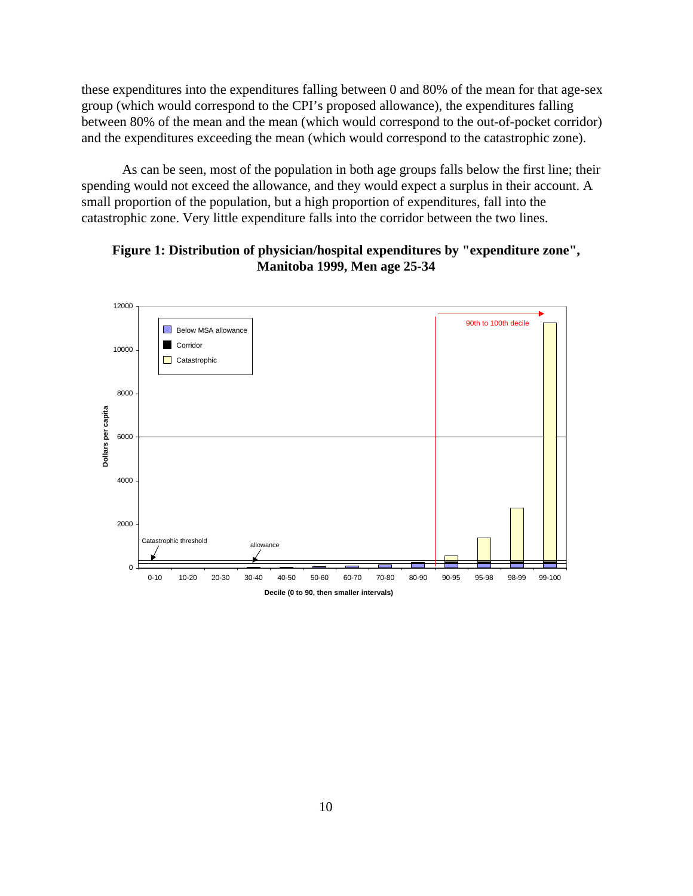these expenditures into the expenditures falling between 0 and 80% of the mean for that age-sex group (which would correspond to the CPI's proposed allowance), the expenditures falling between 80% of the mean and the mean (which would correspond to the out-of-pocket corridor) and the expenditures exceeding the mean (which would correspond to the catastrophic zone).

As can be seen, most of the population in both age groups falls below the first line; their spending would not exceed the allowance, and they would expect a surplus in their account. A small proportion of the population, but a high proportion of expenditures, fall into the catastrophic zone. Very little expenditure falls into the corridor between the two lines.



**Figure 1: Distribution of physician/hospital expenditures by "expenditure zone", Manitoba 1999, Men age 25-34**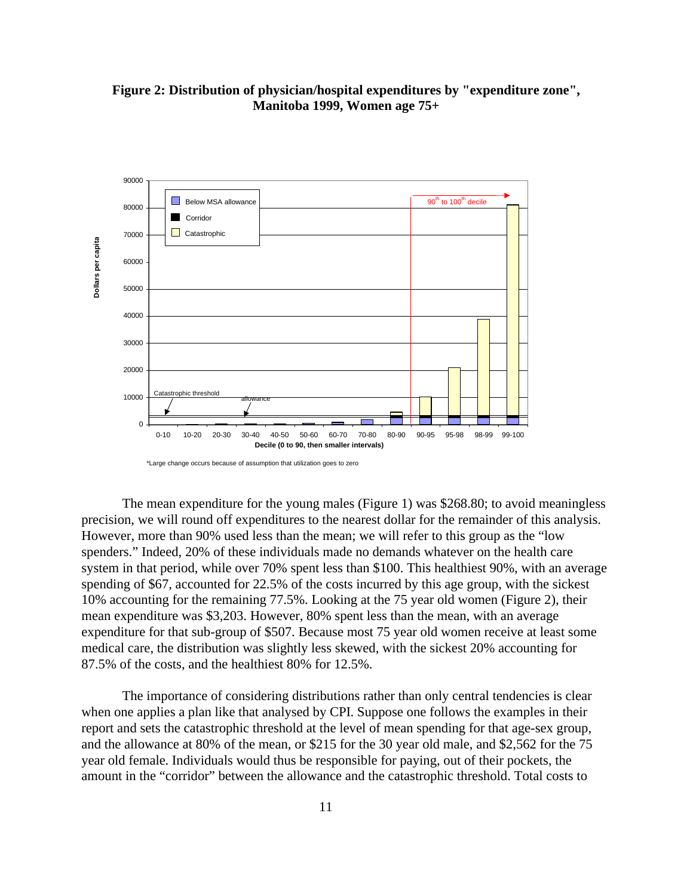

**Figure 2: Distribution of physician/hospital expenditures by "expenditure zone", Manitoba 1999, Women age 75+**

allowance

 $\Omega$ 

Catastrophic threshold

10000

The mean expenditure for the young males (Figure 1) was \$268.80; to avoid meaningless precision, we will round off expenditures to the nearest dollar for the remainder of this analysis. However, more than 90% used less than the mean; we will refer to this group as the "low spenders." Indeed, 20% of these individuals made no demands whatever on the health care system in that period, while over 70% spent less than \$100. This healthiest 90%, with an average spending of \$67, accounted for 22.5% of the costs incurred by this age group, with the sickest 10% accounting for the remaining 77.5%. Looking at the 75 year old women (Figure 2), their mean expenditure was \$3,203. However, 80% spent less than the mean, with an average expenditure for that sub-group of \$507. Because most 75 year old women receive at least some medical care, the distribution was slightly less skewed, with the sickest 20% accounting for 87.5% of the costs, and the healthiest 80% for 12.5%.

0-10 10-20 20-30 30-40 40-50 50-60 60-70 70-80 80-90 90-95 95-98 98-99 99-100

**Decile (0 to 90, then smaller intervals)**

The importance of considering distributions rather than only central tendencies is clear when one applies a plan like that analysed by CPI. Suppose one follows the examples in their report and sets the catastrophic threshold at the level of mean spending for that age-sex group, and the allowance at 80% of the mean, or \$215 for the 30 year old male, and \$2,562 for the 75 year old female. Individuals would thus be responsible for paying, out of their pockets, the amount in the "corridor" between the allowance and the catastrophic threshold. Total costs to

<sup>\*</sup>Large change occurs because of assumption that utilization goes to zero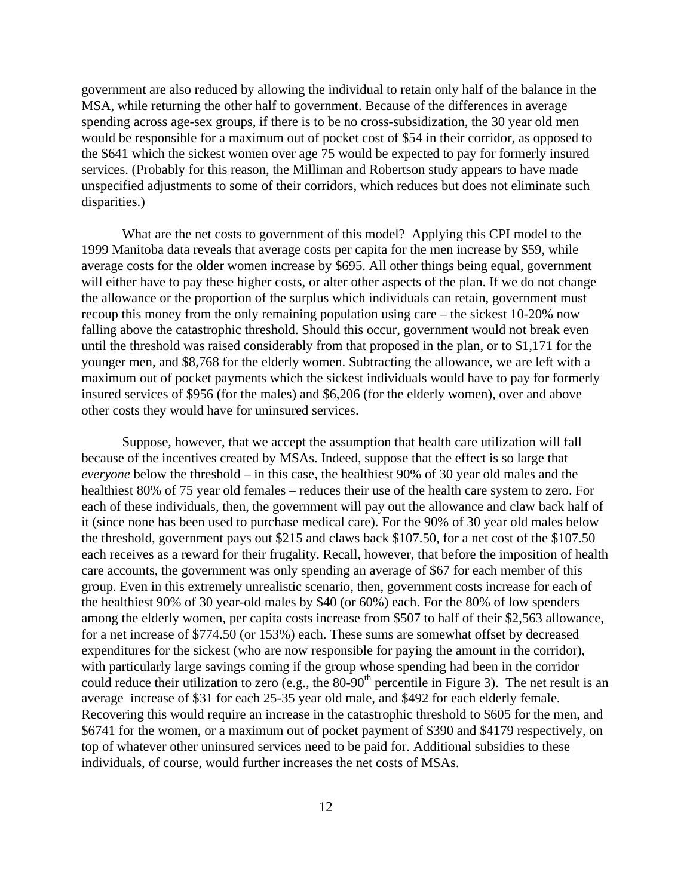government are also reduced by allowing the individual to retain only half of the balance in the MSA, while returning the other half to government. Because of the differences in average spending across age-sex groups, if there is to be no cross-subsidization, the 30 year old men would be responsible for a maximum out of pocket cost of \$54 in their corridor, as opposed to the \$641 which the sickest women over age 75 would be expected to pay for formerly insured services. (Probably for this reason, the Milliman and Robertson study appears to have made unspecified adjustments to some of their corridors, which reduces but does not eliminate such disparities.)

What are the net costs to government of this model? Applying this CPI model to the 1999 Manitoba data reveals that average costs per capita for the men increase by \$59, while average costs for the older women increase by \$695. All other things being equal, government will either have to pay these higher costs, or alter other aspects of the plan. If we do not change the allowance or the proportion of the surplus which individuals can retain, government must recoup this money from the only remaining population using care – the sickest 10-20% now falling above the catastrophic threshold. Should this occur, government would not break even until the threshold was raised considerably from that proposed in the plan, or to \$1,171 for the younger men, and \$8,768 for the elderly women. Subtracting the allowance, we are left with a maximum out of pocket payments which the sickest individuals would have to pay for formerly insured services of \$956 (for the males) and \$6,206 (for the elderly women), over and above other costs they would have for uninsured services.

Suppose, however, that we accept the assumption that health care utilization will fall because of the incentives created by MSAs. Indeed, suppose that the effect is so large that *everyone* below the threshold – in this case, the healthiest 90% of 30 year old males and the healthiest 80% of 75 year old females – reduces their use of the health care system to zero. For each of these individuals, then, the government will pay out the allowance and claw back half of it (since none has been used to purchase medical care). For the 90% of 30 year old males below the threshold, government pays out \$215 and claws back \$107.50, for a net cost of the \$107.50 each receives as a reward for their frugality. Recall, however, that before the imposition of health care accounts, the government was only spending an average of \$67 for each member of this group. Even in this extremely unrealistic scenario, then, government costs increase for each of the healthiest 90% of 30 year-old males by \$40 (or 60%) each. For the 80% of low spenders among the elderly women, per capita costs increase from \$507 to half of their \$2,563 allowance, for a net increase of \$774.50 (or 153%) each. These sums are somewhat offset by decreased expenditures for the sickest (who are now responsible for paying the amount in the corridor), with particularly large savings coming if the group whose spending had been in the corridor could reduce their utilization to zero (e.g., the  $80-90<sup>th</sup>$  percentile in Figure 3). The net result is an average increase of \$31 for each 25-35 year old male, and \$492 for each elderly female. Recovering this would require an increase in the catastrophic threshold to \$605 for the men, and \$6741 for the women, or a maximum out of pocket payment of \$390 and \$4179 respectively, on top of whatever other uninsured services need to be paid for. Additional subsidies to these individuals, of course, would further increases the net costs of MSAs.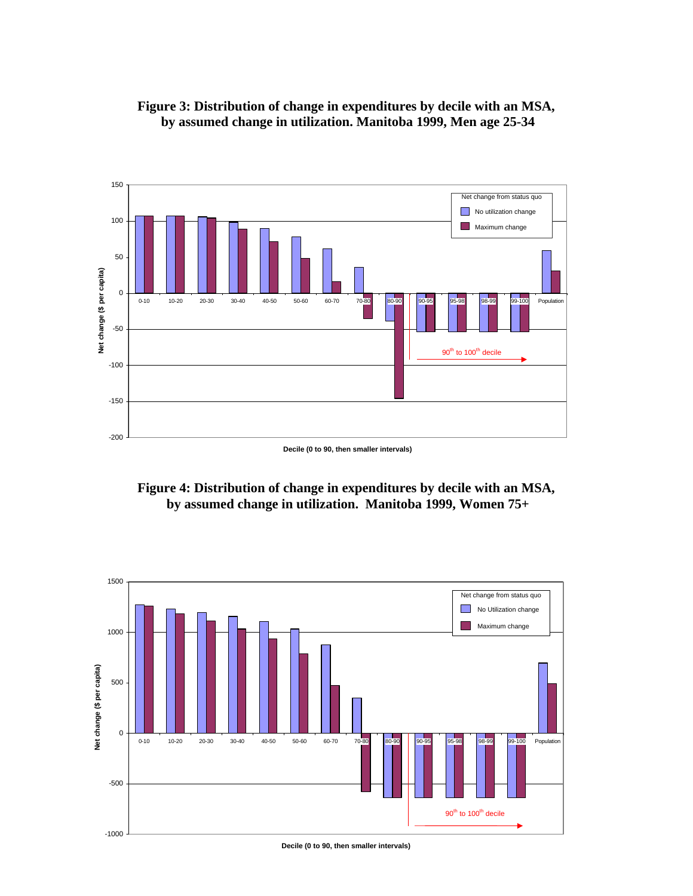



**Decile (0 to 90, then smaller intervals)**





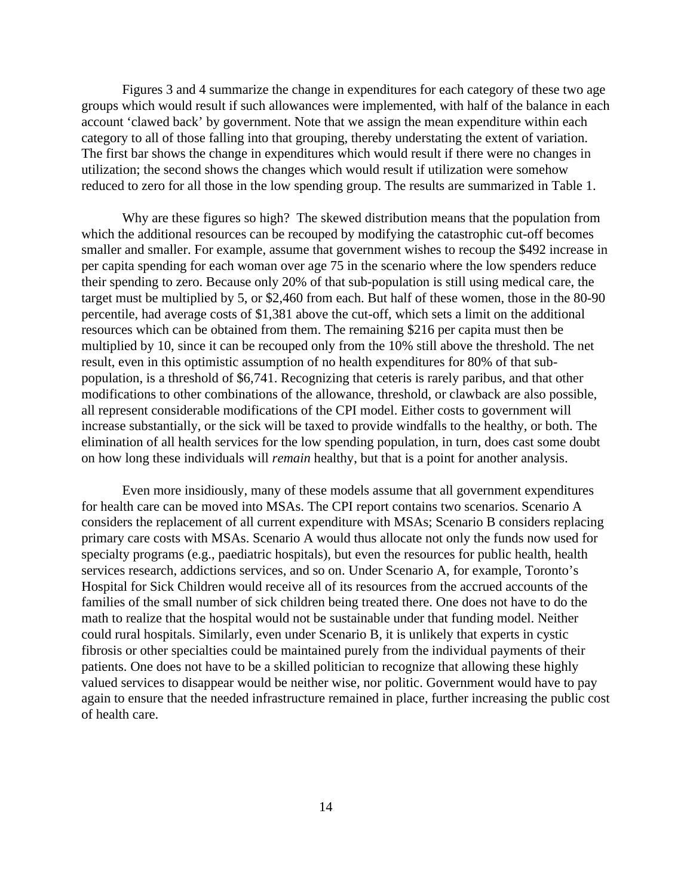Figures 3 and 4 summarize the change in expenditures for each category of these two age groups which would result if such allowances were implemented, with half of the balance in each account 'clawed back' by government. Note that we assign the mean expenditure within each category to all of those falling into that grouping, thereby understating the extent of variation. The first bar shows the change in expenditures which would result if there were no changes in utilization; the second shows the changes which would result if utilization were somehow reduced to zero for all those in the low spending group. The results are summarized in Table 1.

Why are these figures so high? The skewed distribution means that the population from which the additional resources can be recouped by modifying the catastrophic cut-off becomes smaller and smaller. For example, assume that government wishes to recoup the \$492 increase in per capita spending for each woman over age 75 in the scenario where the low spenders reduce their spending to zero. Because only 20% of that sub-population is still using medical care, the target must be multiplied by 5, or \$2,460 from each. But half of these women, those in the 80-90 percentile, had average costs of \$1,381 above the cut-off, which sets a limit on the additional resources which can be obtained from them. The remaining \$216 per capita must then be multiplied by 10, since it can be recouped only from the 10% still above the threshold. The net result, even in this optimistic assumption of no health expenditures for 80% of that subpopulation, is a threshold of \$6,741. Recognizing that ceteris is rarely paribus, and that other modifications to other combinations of the allowance, threshold, or clawback are also possible, all represent considerable modifications of the CPI model. Either costs to government will increase substantially, or the sick will be taxed to provide windfalls to the healthy, or both. The elimination of all health services for the low spending population, in turn, does cast some doubt on how long these individuals will *remain* healthy, but that is a point for another analysis.

Even more insidiously, many of these models assume that all government expenditures for health care can be moved into MSAs. The CPI report contains two scenarios. Scenario A considers the replacement of all current expenditure with MSAs; Scenario B considers replacing primary care costs with MSAs. Scenario A would thus allocate not only the funds now used for specialty programs (e.g., paediatric hospitals), but even the resources for public health, health services research, addictions services, and so on. Under Scenario A, for example, Toronto's Hospital for Sick Children would receive all of its resources from the accrued accounts of the families of the small number of sick children being treated there. One does not have to do the math to realize that the hospital would not be sustainable under that funding model. Neither could rural hospitals. Similarly, even under Scenario B, it is unlikely that experts in cystic fibrosis or other specialties could be maintained purely from the individual payments of their patients. One does not have to be a skilled politician to recognize that allowing these highly valued services to disappear would be neither wise, nor politic. Government would have to pay again to ensure that the needed infrastructure remained in place, further increasing the public cost of health care.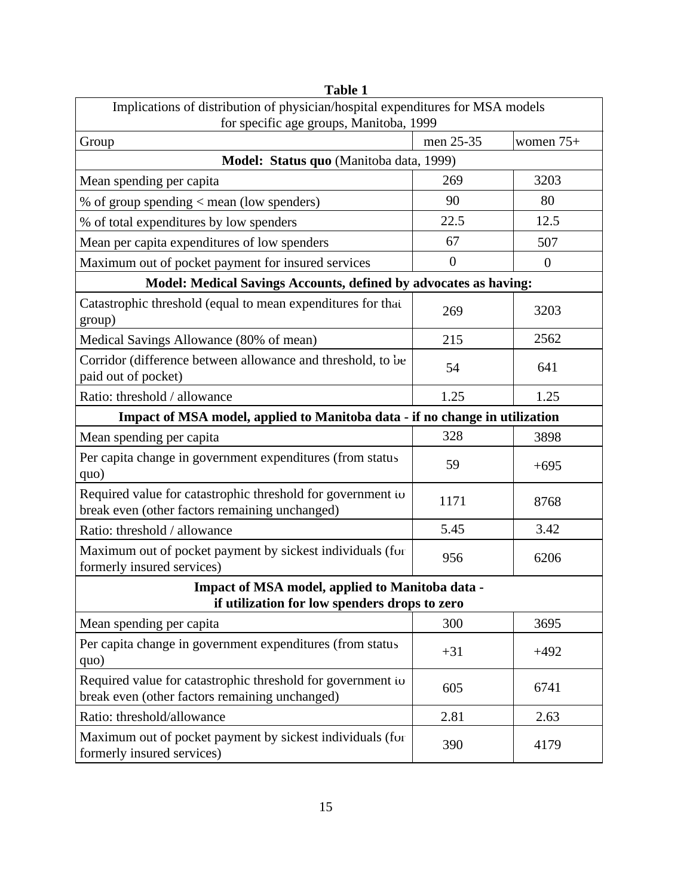| Implications of distribution of physician/hospital expenditures for MSA models<br>for specific age groups, Manitoba, 1999 |                  |                |
|---------------------------------------------------------------------------------------------------------------------------|------------------|----------------|
| Group                                                                                                                     | men 25-35        | women 75+      |
| Model: Status quo (Manitoba data, 1999)                                                                                   |                  |                |
| Mean spending per capita                                                                                                  | 269              | 3203           |
| % of group spending $<$ mean (low spenders)                                                                               | 90               | 80             |
| % of total expenditures by low spenders                                                                                   | 22.5             | 12.5           |
| Mean per capita expenditures of low spenders                                                                              | 67               | 507            |
| Maximum out of pocket payment for insured services                                                                        | $\boldsymbol{0}$ | $\overline{0}$ |
| Model: Medical Savings Accounts, defined by advocates as having:                                                          |                  |                |
| Catastrophic threshold (equal to mean expenditures for that<br>group)                                                     | 269              | 3203           |
| Medical Savings Allowance (80% of mean)                                                                                   | 215              | 2562           |
| Corridor (difference between allowance and threshold, to be<br>paid out of pocket)                                        | 54               | 641            |
| Ratio: threshold / allowance                                                                                              | 1.25             | 1.25           |
| Impact of MSA model, applied to Manitoba data - if no change in utilization                                               |                  |                |
| Mean spending per capita                                                                                                  | 328              | 3898           |
| Per capita change in government expenditures (from status<br>quo)                                                         | 59               | $+695$         |
| Required value for catastrophic threshold for government to<br>break even (other factors remaining unchanged)             | 1171             | 8768           |
| Ratio: threshold / allowance                                                                                              | 5.45             | 3.42           |
| Maximum out of pocket payment by sickest individuals (for<br>formerly insured services)                                   | 956              | 6206           |
| Impact of MSA model, applied to Manitoba data -<br>if utilization for low spenders drops to zero                          |                  |                |
| Mean spending per capita                                                                                                  | 300              | 3695           |
| Per capita change in government expenditures (from status<br>quo)                                                         | $+31$            | $+492$         |
| Required value for catastrophic threshold for government to<br>break even (other factors remaining unchanged)             | 605              | 6741           |
| Ratio: threshold/allowance                                                                                                | 2.81             | 2.63           |
| Maximum out of pocket payment by sickest individuals (for<br>formerly insured services)                                   | 390              | 4179           |

**Table 1**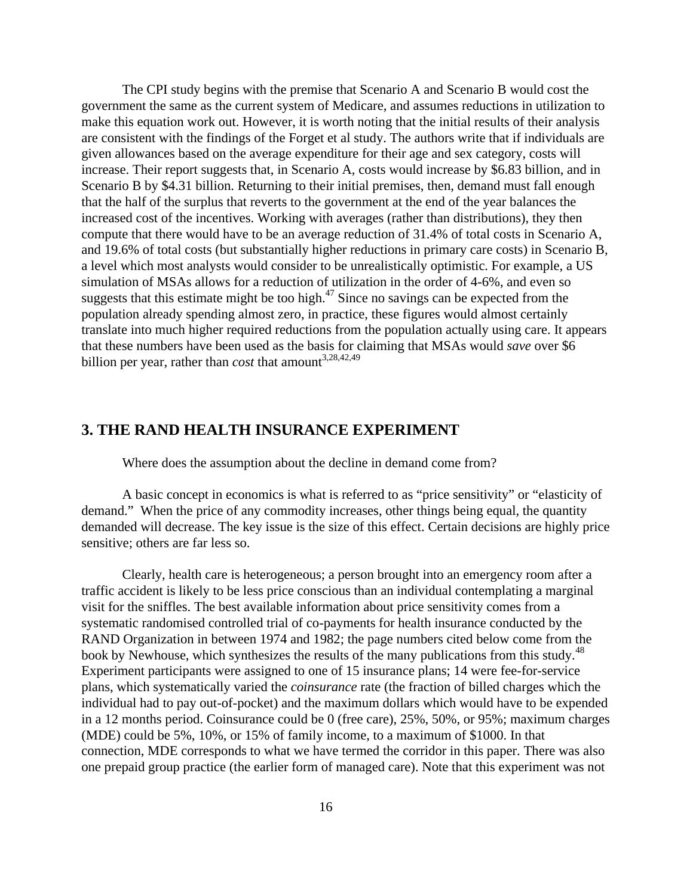The CPI study begins with the premise that Scenario A and Scenario B would cost the government the same as the current system of Medicare, and assumes reductions in utilization to make this equation work out. However, it is worth noting that the initial results of their analysis are consistent with the findings of the Forget et al study. The authors write that if individuals are given allowances based on the average expenditure for their age and sex category, costs will increase. Their report suggests that, in Scenario A, costs would increase by \$6.83 billion, and in Scenario B by \$4.31 billion. Returning to their initial premises, then, demand must fall enough that the half of the surplus that reverts to the government at the end of the year balances the increased cost of the incentives. Working with averages (rather than distributions), they then compute that there would have to be an average reduction of 31.4% of total costs in Scenario A, and 19.6% of total costs (but substantially higher reductions in primary care costs) in Scenario B, a level which most analysts would consider to be unrealistically optimistic. For example, a US simulation of MSAs allows for a reduction of utilization in the order of 4-6%, and even so suggests that this estimate might be too high. $47$  Since no savings can be expected from the population already spending almost zero, in practice, these figures would almost certainly translate into much higher required reductions from the population actually using care. It appears that these numbers have been used as the basis for claiming that MSAs would *save* over \$6 billion per year, rather than *cost* that amount<sup>3,28,42,49</sup>

## **3. THE RAND HEALTH INSURANCE EXPERIMENT**

Where does the assumption about the decline in demand come from?

A basic concept in economics is what is referred to as "price sensitivity" or "elasticity of demand." When the price of any commodity increases, other things being equal, the quantity demanded will decrease. The key issue is the size of this effect. Certain decisions are highly price sensitive; others are far less so.

Clearly, health care is heterogeneous; a person brought into an emergency room after a traffic accident is likely to be less price conscious than an individual contemplating a marginal visit for the sniffles. The best available information about price sensitivity comes from a systematic randomised controlled trial of co-payments for health insurance conducted by the RAND Organization in between 1974 and 1982; the page numbers cited below come from the book by Newhouse, which synthesizes the results of the many publications from this study.<sup>48</sup> Experiment participants were assigned to one of 15 insurance plans; 14 were fee-for-service plans, which systematically varied the *coinsurance* rate (the fraction of billed charges which the individual had to pay out-of-pocket) and the maximum dollars which would have to be expended in a 12 months period. Coinsurance could be 0 (free care), 25%, 50%, or 95%; maximum charges (MDE) could be 5%, 10%, or 15% of family income, to a maximum of \$1000. In that connection, MDE corresponds to what we have termed the corridor in this paper. There was also one prepaid group practice (the earlier form of managed care). Note that this experiment was not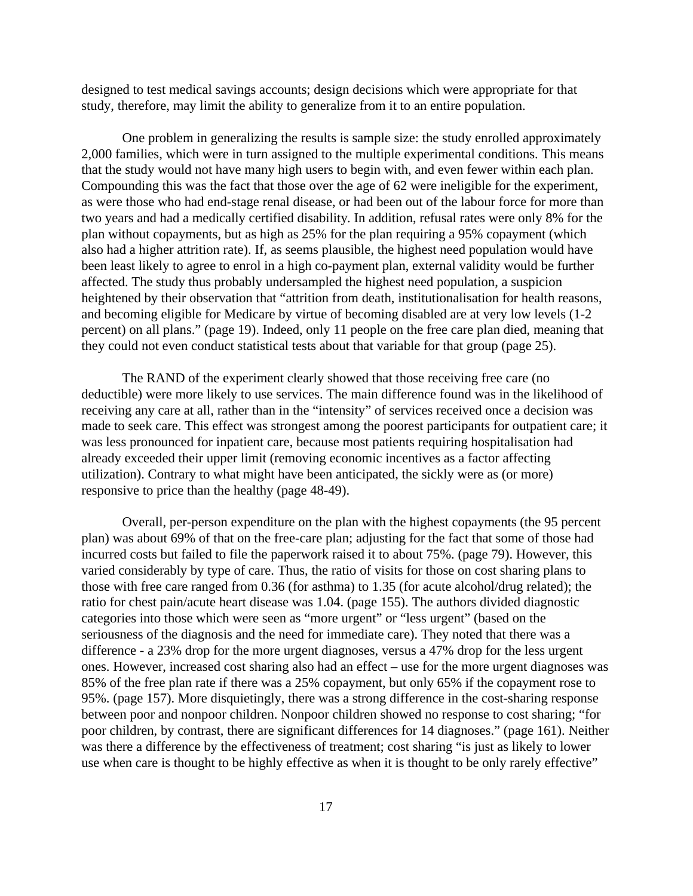designed to test medical savings accounts; design decisions which were appropriate for that study, therefore, may limit the ability to generalize from it to an entire population.

One problem in generalizing the results is sample size: the study enrolled approximately 2,000 families, which were in turn assigned to the multiple experimental conditions. This means that the study would not have many high users to begin with, and even fewer within each plan. Compounding this was the fact that those over the age of 62 were ineligible for the experiment, as were those who had end-stage renal disease, or had been out of the labour force for more than two years and had a medically certified disability. In addition, refusal rates were only 8% for the plan without copayments, but as high as 25% for the plan requiring a 95% copayment (which also had a higher attrition rate). If, as seems plausible, the highest need population would have been least likely to agree to enrol in a high co-payment plan, external validity would be further affected. The study thus probably undersampled the highest need population, a suspicion heightened by their observation that "attrition from death, institutionalisation for health reasons, and becoming eligible for Medicare by virtue of becoming disabled are at very low levels (1-2 percent) on all plans." (page 19). Indeed, only 11 people on the free care plan died, meaning that they could not even conduct statistical tests about that variable for that group (page 25).

The RAND of the experiment clearly showed that those receiving free care (no deductible) were more likely to use services. The main difference found was in the likelihood of receiving any care at all, rather than in the "intensity" of services received once a decision was made to seek care. This effect was strongest among the poorest participants for outpatient care; it was less pronounced for inpatient care, because most patients requiring hospitalisation had already exceeded their upper limit (removing economic incentives as a factor affecting utilization). Contrary to what might have been anticipated, the sickly were as (or more) responsive to price than the healthy (page 48-49).

Overall, per-person expenditure on the plan with the highest copayments (the 95 percent plan) was about 69% of that on the free-care plan; adjusting for the fact that some of those had incurred costs but failed to file the paperwork raised it to about 75%. (page 79). However, this varied considerably by type of care. Thus, the ratio of visits for those on cost sharing plans to those with free care ranged from 0.36 (for asthma) to 1.35 (for acute alcohol/drug related); the ratio for chest pain/acute heart disease was 1.04. (page 155). The authors divided diagnostic categories into those which were seen as "more urgent" or "less urgent" (based on the seriousness of the diagnosis and the need for immediate care). They noted that there was a difference - a 23% drop for the more urgent diagnoses, versus a 47% drop for the less urgent ones. However, increased cost sharing also had an effect – use for the more urgent diagnoses was 85% of the free plan rate if there was a 25% copayment, but only 65% if the copayment rose to 95%. (page 157). More disquietingly, there was a strong difference in the cost-sharing response between poor and nonpoor children. Nonpoor children showed no response to cost sharing; "for poor children, by contrast, there are significant differences for 14 diagnoses." (page 161). Neither was there a difference by the effectiveness of treatment; cost sharing "is just as likely to lower use when care is thought to be highly effective as when it is thought to be only rarely effective"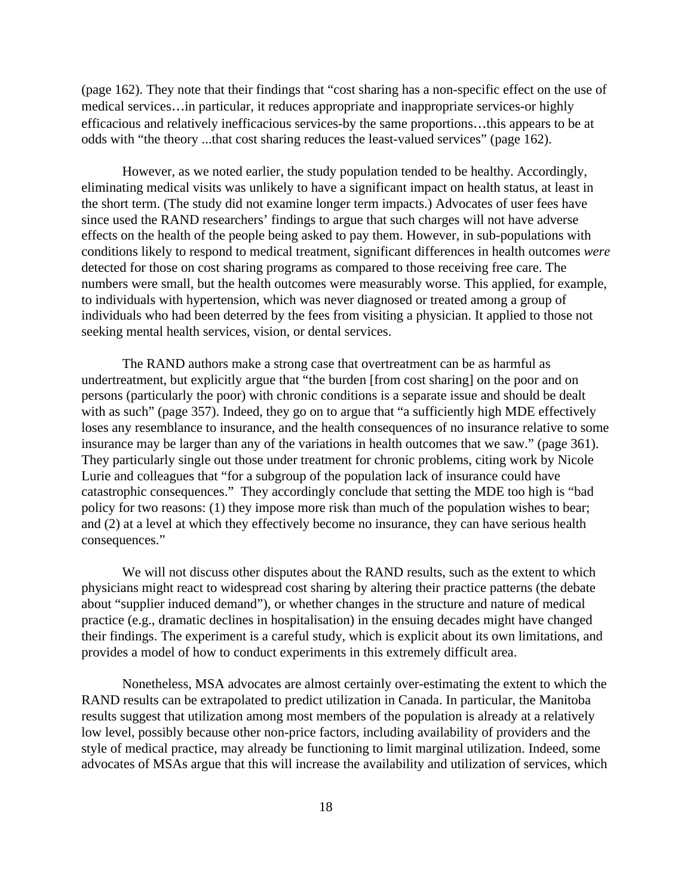(page 162). They note that their findings that "cost sharing has a non-specific effect on the use of medical services…in particular, it reduces appropriate and inappropriate services-or highly efficacious and relatively inefficacious services-by the same proportions…this appears to be at odds with "the theory ...that cost sharing reduces the least-valued services" (page 162).

However, as we noted earlier, the study population tended to be healthy. Accordingly, eliminating medical visits was unlikely to have a significant impact on health status, at least in the short term. (The study did not examine longer term impacts.) Advocates of user fees have since used the RAND researchers' findings to argue that such charges will not have adverse effects on the health of the people being asked to pay them. However, in sub-populations with conditions likely to respond to medical treatment, significant differences in health outcomes *were* detected for those on cost sharing programs as compared to those receiving free care. The numbers were small, but the health outcomes were measurably worse. This applied, for example, to individuals with hypertension, which was never diagnosed or treated among a group of individuals who had been deterred by the fees from visiting a physician. It applied to those not seeking mental health services, vision, or dental services.

The RAND authors make a strong case that overtreatment can be as harmful as undertreatment, but explicitly argue that "the burden [from cost sharing] on the poor and on persons (particularly the poor) with chronic conditions is a separate issue and should be dealt with as such" (page 357). Indeed, they go on to argue that "a sufficiently high MDE effectively loses any resemblance to insurance, and the health consequences of no insurance relative to some insurance may be larger than any of the variations in health outcomes that we saw." (page 361). They particularly single out those under treatment for chronic problems, citing work by Nicole Lurie and colleagues that "for a subgroup of the population lack of insurance could have catastrophic consequences." They accordingly conclude that setting the MDE too high is "bad policy for two reasons: (1) they impose more risk than much of the population wishes to bear; and (2) at a level at which they effectively become no insurance, they can have serious health consequences."

We will not discuss other disputes about the RAND results, such as the extent to which physicians might react to widespread cost sharing by altering their practice patterns (the debate about "supplier induced demand"), or whether changes in the structure and nature of medical practice (e.g., dramatic declines in hospitalisation) in the ensuing decades might have changed their findings. The experiment is a careful study, which is explicit about its own limitations, and provides a model of how to conduct experiments in this extremely difficult area.

Nonetheless, MSA advocates are almost certainly over-estimating the extent to which the RAND results can be extrapolated to predict utilization in Canada. In particular, the Manitoba results suggest that utilization among most members of the population is already at a relatively low level, possibly because other non-price factors, including availability of providers and the style of medical practice, may already be functioning to limit marginal utilization. Indeed, some advocates of MSAs argue that this will increase the availability and utilization of services, which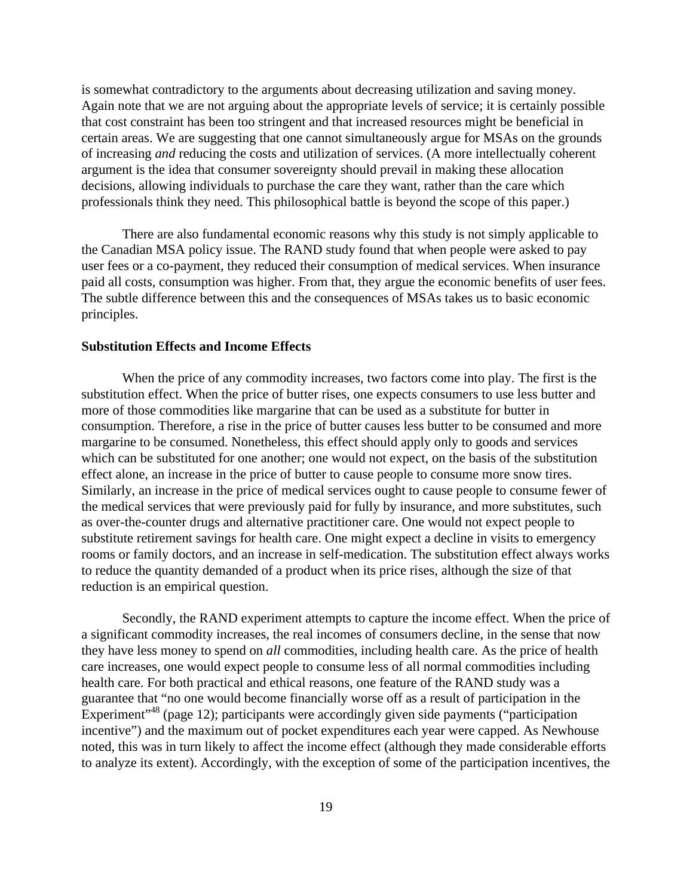is somewhat contradictory to the arguments about decreasing utilization and saving money. Again note that we are not arguing about the appropriate levels of service; it is certainly possible that cost constraint has been too stringent and that increased resources might be beneficial in certain areas. We are suggesting that one cannot simultaneously argue for MSAs on the grounds of increasing *and* reducing the costs and utilization of services. (A more intellectually coherent argument is the idea that consumer sovereignty should prevail in making these allocation decisions, allowing individuals to purchase the care they want, rather than the care which professionals think they need. This philosophical battle is beyond the scope of this paper.)

There are also fundamental economic reasons why this study is not simply applicable to the Canadian MSA policy issue. The RAND study found that when people were asked to pay user fees or a co-payment, they reduced their consumption of medical services. When insurance paid all costs, consumption was higher. From that, they argue the economic benefits of user fees. The subtle difference between this and the consequences of MSAs takes us to basic economic principles.

#### **Substitution Effects and Income Effects**

When the price of any commodity increases, two factors come into play. The first is the substitution effect. When the price of butter rises, one expects consumers to use less butter and more of those commodities like margarine that can be used as a substitute for butter in consumption. Therefore, a rise in the price of butter causes less butter to be consumed and more margarine to be consumed. Nonetheless, this effect should apply only to goods and services which can be substituted for one another; one would not expect, on the basis of the substitution effect alone, an increase in the price of butter to cause people to consume more snow tires. Similarly, an increase in the price of medical services ought to cause people to consume fewer of the medical services that were previously paid for fully by insurance, and more substitutes, such as over-the-counter drugs and alternative practitioner care. One would not expect people to substitute retirement savings for health care. One might expect a decline in visits to emergency rooms or family doctors, and an increase in self-medication. The substitution effect always works to reduce the quantity demanded of a product when its price rises, although the size of that reduction is an empirical question.

Secondly, the RAND experiment attempts to capture the income effect. When the price of a significant commodity increases, the real incomes of consumers decline, in the sense that now they have less money to spend on *all* commodities, including health care. As the price of health care increases, one would expect people to consume less of all normal commodities including health care. For both practical and ethical reasons, one feature of the RAND study was a guarantee that "no one would become financially worse off as a result of participation in the Experiment<sup> $348$ </sup> (page 12); participants were accordingly given side payments ("participation" incentive") and the maximum out of pocket expenditures each year were capped. As Newhouse noted, this was in turn likely to affect the income effect (although they made considerable efforts to analyze its extent). Accordingly, with the exception of some of the participation incentives, the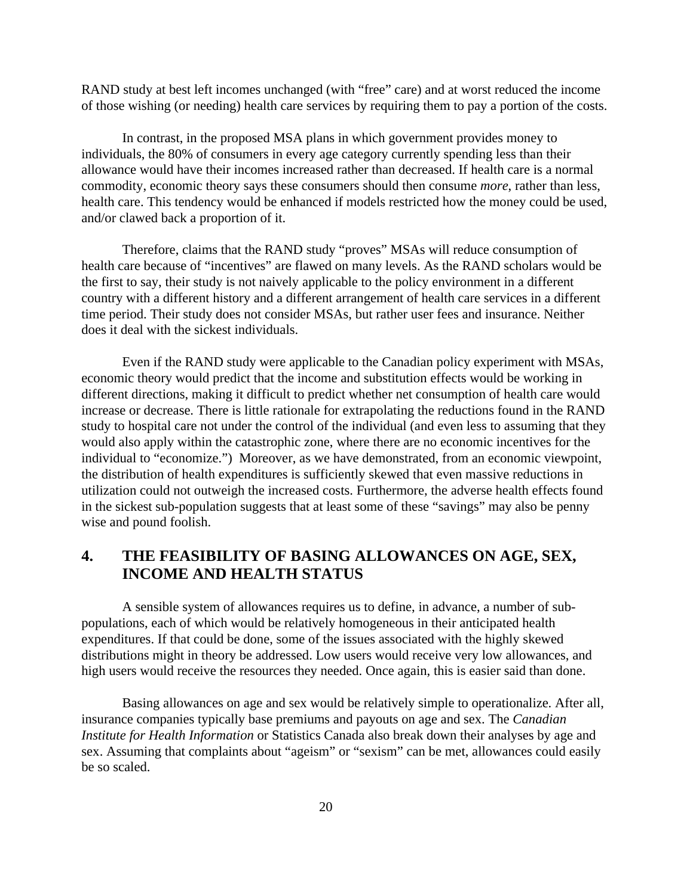RAND study at best left incomes unchanged (with "free" care) and at worst reduced the income of those wishing (or needing) health care services by requiring them to pay a portion of the costs.

In contrast, in the proposed MSA plans in which government provides money to individuals, the 80% of consumers in every age category currently spending less than their allowance would have their incomes increased rather than decreased. If health care is a normal commodity, economic theory says these consumers should then consume *more*, rather than less, health care. This tendency would be enhanced if models restricted how the money could be used, and/or clawed back a proportion of it.

Therefore, claims that the RAND study "proves" MSAs will reduce consumption of health care because of "incentives" are flawed on many levels. As the RAND scholars would be the first to say, their study is not naively applicable to the policy environment in a different country with a different history and a different arrangement of health care services in a different time period. Their study does not consider MSAs, but rather user fees and insurance. Neither does it deal with the sickest individuals.

Even if the RAND study were applicable to the Canadian policy experiment with MSAs, economic theory would predict that the income and substitution effects would be working in different directions, making it difficult to predict whether net consumption of health care would increase or decrease. There is little rationale for extrapolating the reductions found in the RAND study to hospital care not under the control of the individual (and even less to assuming that they would also apply within the catastrophic zone, where there are no economic incentives for the individual to "economize.") Moreover, as we have demonstrated, from an economic viewpoint, the distribution of health expenditures is sufficiently skewed that even massive reductions in utilization could not outweigh the increased costs. Furthermore, the adverse health effects found in the sickest sub-population suggests that at least some of these "savings" may also be penny wise and pound foolish.

# **4. THE FEASIBILITY OF BASING ALLOWANCES ON AGE, SEX, INCOME AND HEALTH STATUS**

A sensible system of allowances requires us to define, in advance, a number of subpopulations, each of which would be relatively homogeneous in their anticipated health expenditures. If that could be done, some of the issues associated with the highly skewed distributions might in theory be addressed. Low users would receive very low allowances, and high users would receive the resources they needed. Once again, this is easier said than done.

Basing allowances on age and sex would be relatively simple to operationalize. After all, insurance companies typically base premiums and payouts on age and sex. The *Canadian Institute for Health Information* or Statistics Canada also break down their analyses by age and sex. Assuming that complaints about "ageism" or "sexism" can be met, allowances could easily be so scaled.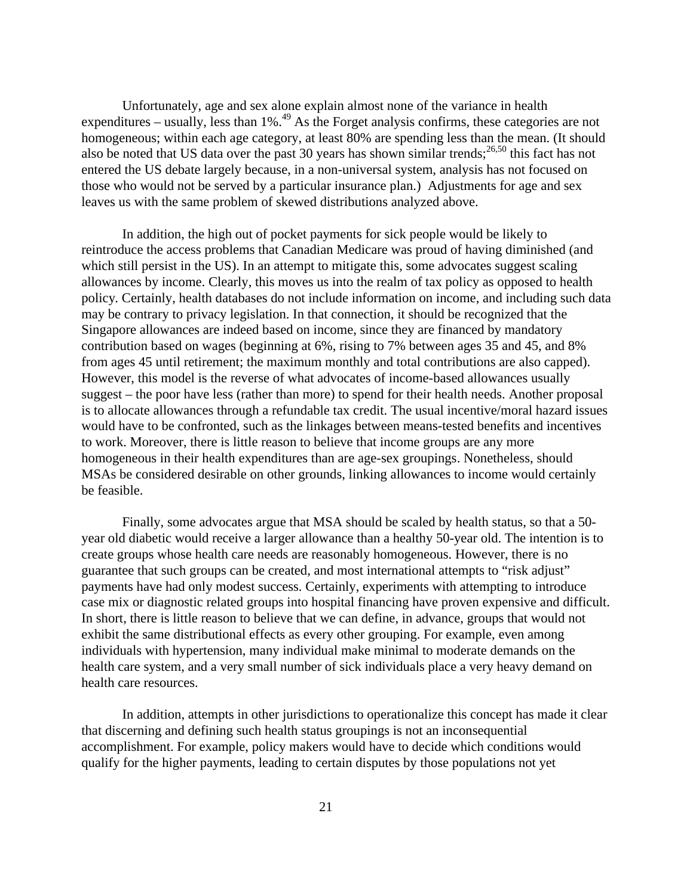Unfortunately, age and sex alone explain almost none of the variance in health expenditures – usually, less than 1%.<sup>49</sup> As the Forget analysis confirms, these categories are not homogeneous; within each age category, at least 80% are spending less than the mean. (It should also be noted that US data over the past 30 years has shown similar trends;<sup>26,50</sup> this fact has not entered the US debate largely because, in a non-universal system, analysis has not focused on those who would not be served by a particular insurance plan.) Adjustments for age and sex leaves us with the same problem of skewed distributions analyzed above.

In addition, the high out of pocket payments for sick people would be likely to reintroduce the access problems that Canadian Medicare was proud of having diminished (and which still persist in the US). In an attempt to mitigate this, some advocates suggest scaling allowances by income. Clearly, this moves us into the realm of tax policy as opposed to health policy. Certainly, health databases do not include information on income, and including such data may be contrary to privacy legislation. In that connection, it should be recognized that the Singapore allowances are indeed based on income, since they are financed by mandatory contribution based on wages (beginning at 6%, rising to 7% between ages 35 and 45, and 8% from ages 45 until retirement; the maximum monthly and total contributions are also capped). However, this model is the reverse of what advocates of income-based allowances usually suggest – the poor have less (rather than more) to spend for their health needs. Another proposal is to allocate allowances through a refundable tax credit. The usual incentive/moral hazard issues would have to be confronted, such as the linkages between means-tested benefits and incentives to work. Moreover, there is little reason to believe that income groups are any more homogeneous in their health expenditures than are age-sex groupings. Nonetheless, should MSAs be considered desirable on other grounds, linking allowances to income would certainly be feasible.

Finally, some advocates argue that MSA should be scaled by health status, so that a 50 year old diabetic would receive a larger allowance than a healthy 50-year old. The intention is to create groups whose health care needs are reasonably homogeneous. However, there is no guarantee that such groups can be created, and most international attempts to "risk adjust" payments have had only modest success. Certainly, experiments with attempting to introduce case mix or diagnostic related groups into hospital financing have proven expensive and difficult. In short, there is little reason to believe that we can define, in advance, groups that would not exhibit the same distributional effects as every other grouping. For example, even among individuals with hypertension, many individual make minimal to moderate demands on the health care system, and a very small number of sick individuals place a very heavy demand on health care resources.

In addition, attempts in other jurisdictions to operationalize this concept has made it clear that discerning and defining such health status groupings is not an inconsequential accomplishment. For example, policy makers would have to decide which conditions would qualify for the higher payments, leading to certain disputes by those populations not yet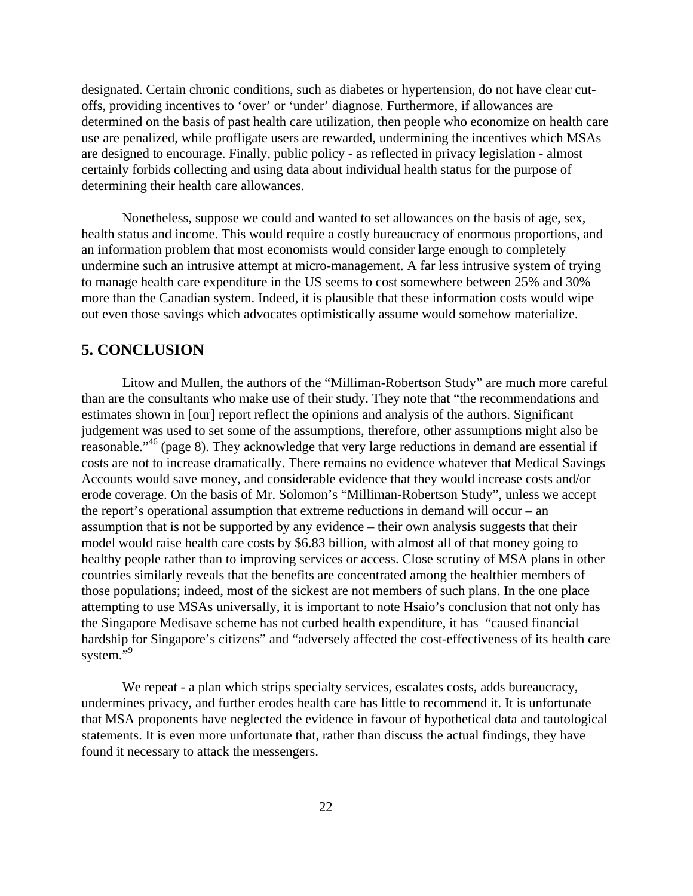designated. Certain chronic conditions, such as diabetes or hypertension, do not have clear cutoffs, providing incentives to 'over' or 'under' diagnose. Furthermore, if allowances are determined on the basis of past health care utilization, then people who economize on health care use are penalized, while profligate users are rewarded, undermining the incentives which MSAs are designed to encourage. Finally, public policy - as reflected in privacy legislation - almost certainly forbids collecting and using data about individual health status for the purpose of determining their health care allowances.

Nonetheless, suppose we could and wanted to set allowances on the basis of age, sex, health status and income. This would require a costly bureaucracy of enormous proportions, and an information problem that most economists would consider large enough to completely undermine such an intrusive attempt at micro-management. A far less intrusive system of trying to manage health care expenditure in the US seems to cost somewhere between 25% and 30% more than the Canadian system. Indeed, it is plausible that these information costs would wipe out even those savings which advocates optimistically assume would somehow materialize.

### **5. CONCLUSION**

Litow and Mullen, the authors of the "Milliman-Robertson Study" are much more careful than are the consultants who make use of their study. They note that "the recommendations and estimates shown in [our] report reflect the opinions and analysis of the authors. Significant judgement was used to set some of the assumptions, therefore, other assumptions might also be reasonable.<sup>"46</sup> (page 8). They acknowledge that very large reductions in demand are essential if costs are not to increase dramatically. There remains no evidence whatever that Medical Savings Accounts would save money, and considerable evidence that they would increase costs and/or erode coverage. On the basis of Mr. Solomon's "Milliman-Robertson Study", unless we accept the report's operational assumption that extreme reductions in demand will occur – an assumption that is not be supported by any evidence – their own analysis suggests that their model would raise health care costs by \$6.83 billion, with almost all of that money going to healthy people rather than to improving services or access. Close scrutiny of MSA plans in other countries similarly reveals that the benefits are concentrated among the healthier members of those populations; indeed, most of the sickest are not members of such plans. In the one place attempting to use MSAs universally, it is important to note Hsaio's conclusion that not only has the Singapore Medisave scheme has not curbed health expenditure, it has "caused financial hardship for Singapore's citizens" and "adversely affected the cost-effectiveness of its health care system."<sup>9</sup>

We repeat - a plan which strips specialty services, escalates costs, adds bureaucracy, undermines privacy, and further erodes health care has little to recommend it. It is unfortunate that MSA proponents have neglected the evidence in favour of hypothetical data and tautological statements. It is even more unfortunate that, rather than discuss the actual findings, they have found it necessary to attack the messengers.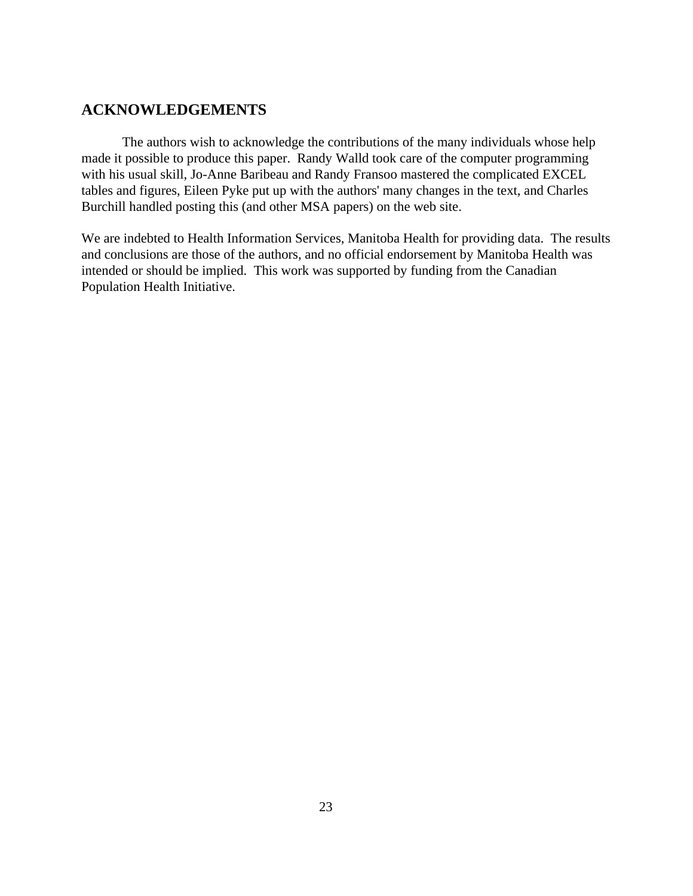# **ACKNOWLEDGEMENTS**

The authors wish to acknowledge the contributions of the many individuals whose help made it possible to produce this paper. Randy Walld took care of the computer programming with his usual skill, Jo-Anne Baribeau and Randy Fransoo mastered the complicated EXCEL tables and figures, Eileen Pyke put up with the authors' many changes in the text, and Charles Burchill handled posting this (and other MSA papers) on the web site.

We are indebted to Health Information Services, Manitoba Health for providing data. The results and conclusions are those of the authors, and no official endorsement by Manitoba Health was intended or should be implied. This work was supported by funding from the Canadian Population Health Initiative.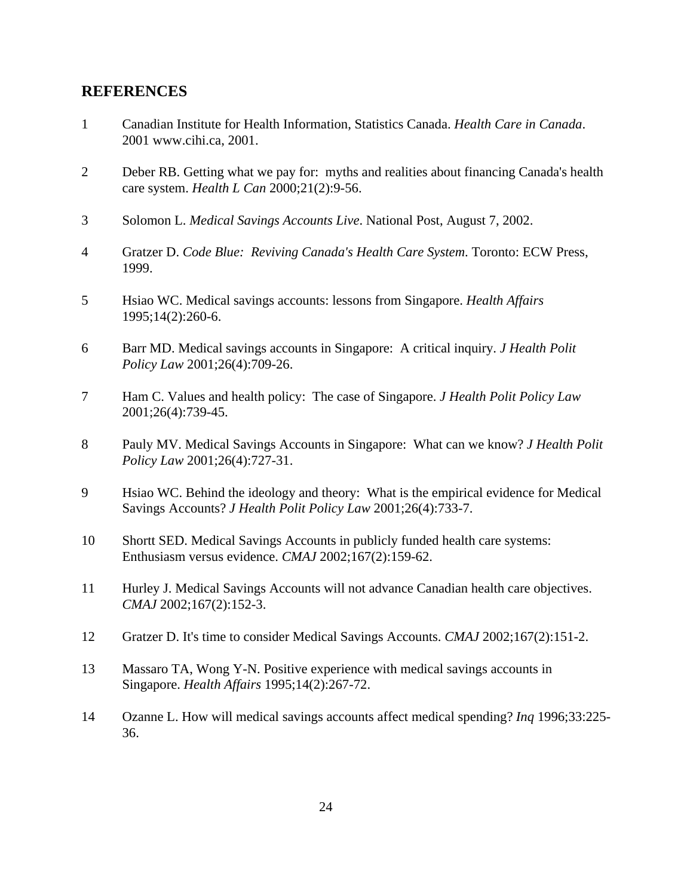## **REFERENCES**

- 1 Canadian Institute for Health Information, Statistics Canada. *Health Care in Canada*. 2001 www.cihi.ca, 2001.
- 2 Deber RB. Getting what we pay for: myths and realities about financing Canada's health care system. *Health L Can* 2000;21(2):9-56.
- 3 Solomon L. *Medical Savings Accounts Live*. National Post, August 7, 2002.
- 4 Gratzer D. *Code Blue: Reviving Canada's Health Care System*. Toronto: ECW Press, 1999.
- 5 Hsiao WC. Medical savings accounts: lessons from Singapore. *Health Affairs* 1995;14(2):260-6.
- 6 Barr MD. Medical savings accounts in Singapore: A critical inquiry. *J Health Polit Policy Law* 2001;26(4):709-26.
- 7 Ham C. Values and health policy: The case of Singapore. *J Health Polit Policy Law* 2001;26(4):739-45.
- 8 Pauly MV. Medical Savings Accounts in Singapore: What can we know? *J Health Polit Policy Law* 2001;26(4):727-31.
- 9 Hsiao WC. Behind the ideology and theory: What is the empirical evidence for Medical Savings Accounts? *J Health Polit Policy Law* 2001;26(4):733-7.
- 10 Shortt SED. Medical Savings Accounts in publicly funded health care systems: Enthusiasm versus evidence. *CMAJ* 2002;167(2):159-62.
- 11 Hurley J. Medical Savings Accounts will not advance Canadian health care objectives. *CMAJ* 2002;167(2):152-3.
- 12 Gratzer D. It's time to consider Medical Savings Accounts. *CMAJ* 2002;167(2):151-2.
- 13 Massaro TA, Wong Y-N. Positive experience with medical savings accounts in Singapore. *Health Affairs* 1995;14(2):267-72.
- 14 Ozanne L. How will medical savings accounts affect medical spending? *Inq* 1996;33:225- 36.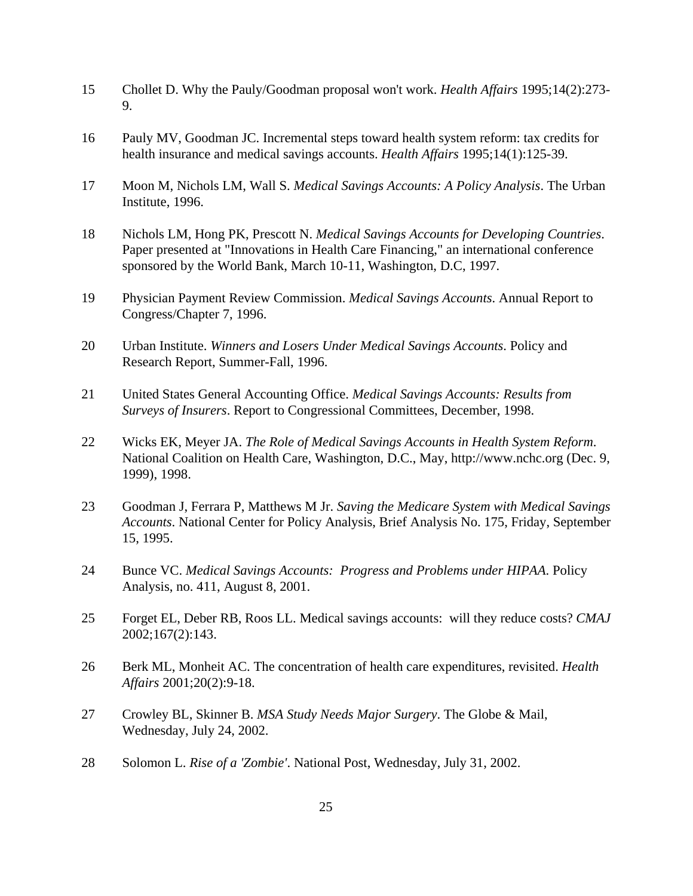- 15 Chollet D. Why the Pauly/Goodman proposal won't work. *Health Affairs* 1995;14(2):273- 9.
- 16 Pauly MV, Goodman JC. Incremental steps toward health system reform: tax credits for health insurance and medical savings accounts. *Health Affairs* 1995;14(1):125-39.
- 17 Moon M, Nichols LM, Wall S. *Medical Savings Accounts: A Policy Analysis*. The Urban Institute, 1996.
- 18 Nichols LM, Hong PK, Prescott N. *Medical Savings Accounts for Developing Countries*. Paper presented at "Innovations in Health Care Financing," an international conference sponsored by the World Bank, March 10-11, Washington, D.C, 1997.
- 19 Physician Payment Review Commission. *Medical Savings Accounts*. Annual Report to Congress/Chapter 7, 1996.
- 20 Urban Institute. *Winners and Losers Under Medical Savings Accounts*. Policy and Research Report, Summer-Fall, 1996.
- 21 United States General Accounting Office. *Medical Savings Accounts: Results from Surveys of Insurers*. Report to Congressional Committees, December, 1998.
- 22 Wicks EK, Meyer JA. *The Role of Medical Savings Accounts in Health System Reform*. National Coalition on Health Care, Washington, D.C., May, http://www.nchc.org (Dec. 9, 1999), 1998.
- 23 Goodman J, Ferrara P, Matthews M Jr. *Saving the Medicare System with Medical Savings Accounts*. National Center for Policy Analysis, Brief Analysis No. 175, Friday, September 15, 1995.
- 24 Bunce VC. *Medical Savings Accounts: Progress and Problems under HIPAA*. Policy Analysis, no. 411, August 8, 2001.
- 25 Forget EL, Deber RB, Roos LL. Medical savings accounts: will they reduce costs? *CMAJ* 2002;167(2):143.
- 26 Berk ML, Monheit AC. The concentration of health care expenditures, revisited. *Health Affairs* 2001;20(2):9-18.
- 27 Crowley BL, Skinner B. *MSA Study Needs Major Surgery*. The Globe & Mail, Wednesday, July 24, 2002.
- 28 Solomon L. *Rise of a 'Zombie'*. National Post, Wednesday, July 31, 2002.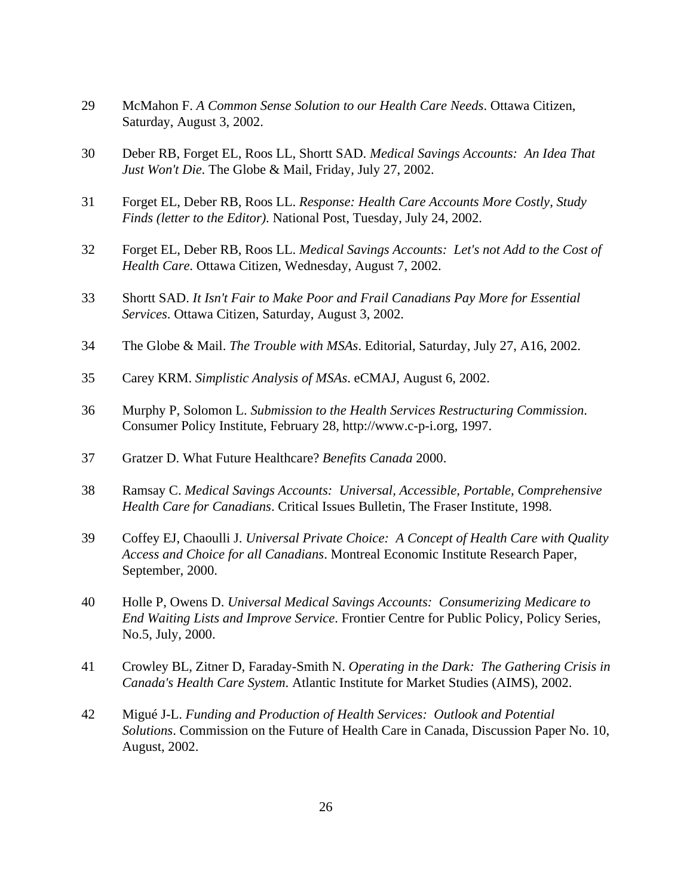- 29 McMahon F. *A Common Sense Solution to our Health Care Needs*. Ottawa Citizen, Saturday, August 3, 2002.
- 30 Deber RB, Forget EL, Roos LL, Shortt SAD. *Medical Savings Accounts: An Idea That Just Won't Die*. The Globe & Mail, Friday, July 27, 2002.
- 31 Forget EL, Deber RB, Roos LL. *Response: Health Care Accounts More Costly, Study Finds (letter to the Editor)*. National Post, Tuesday, July 24, 2002.
- 32 Forget EL, Deber RB, Roos LL. *Medical Savings Accounts: Let's not Add to the Cost of Health Care*. Ottawa Citizen, Wednesday, August 7, 2002.
- 33 Shortt SAD. *It Isn't Fair to Make Poor and Frail Canadians Pay More for Essential Services*. Ottawa Citizen, Saturday, August 3, 2002.
- 34 The Globe & Mail. *The Trouble with MSAs*. Editorial, Saturday, July 27, A16, 2002.
- 35 Carey KRM. *Simplistic Analysis of MSAs*. eCMAJ, August 6, 2002.
- 36 Murphy P, Solomon L. *Submission to the Health Services Restructuring Commission*. Consumer Policy Institute, February 28, http://www.c-p-i.org, 1997.
- 37 Gratzer D. What Future Healthcare? *Benefits Canada* 2000.
- 38 Ramsay C. *Medical Savings Accounts: Universal, Accessible, Portable, Comprehensive Health Care for Canadians*. Critical Issues Bulletin, The Fraser Institute, 1998.
- 39 Coffey EJ, Chaoulli J. *Universal Private Choice: A Concept of Health Care with Quality Access and Choice for all Canadians*. Montreal Economic Institute Research Paper, September, 2000.
- 40 Holle P, Owens D. *Universal Medical Savings Accounts: Consumerizing Medicare to End Waiting Lists and Improve Service*. Frontier Centre for Public Policy, Policy Series, No.5, July, 2000.
- 41 Crowley BL, Zitner D, Faraday-Smith N. *Operating in the Dark: The Gathering Crisis in Canada's Health Care System*. Atlantic Institute for Market Studies (AIMS), 2002.
- 42 Migué J-L. *Funding and Production of Health Services: Outlook and Potential Solutions*. Commission on the Future of Health Care in Canada, Discussion Paper No. 10, August, 2002.